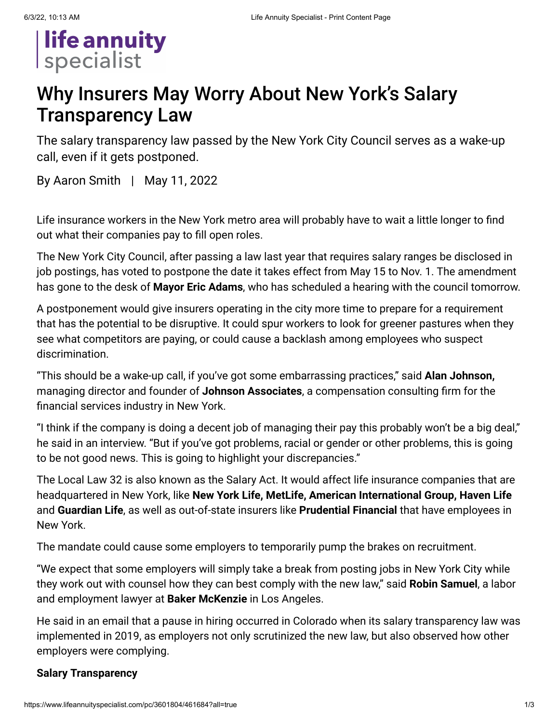

# Why Insurers May Worry About New York's Salary Transparency Law

The salary transparency law passed by the New York City Council serves as a wake-up call, even if it gets postponed.

By [Aaron Smith](https://www.lifeannuityspecialist.com/email-contributor/142964/3601804/461684?from=%2Fpc%2F3601804%2F461684%3Fall%3Dtrue) | May 11, 2022

Life insurance workers in the New York metro area will probably have to wait a little longer to find out what their companies pay to fill open roles.

The New York City Council, after passing a law last year that requires salary ranges be disclosed in job postings, has voted to postpone the date it takes effect from May 15 to Nov. 1. The amendment has gone to the desk of **Mayor Eric Adams**, who has scheduled a hearing with the council tomorrow.

A postponement would give insurers operating in the city more time to prepare for a requirement that has the potential to be disruptive. It could spur workers to look for greener pastures when they see what competitors are paying, or could cause a backlash among employees who suspect discrimination.

"This should be a wake-up call, if you've got some embarrassing practices," said **Alan Johnson,** managing director and founder of **Johnson Associates**, a compensation consulting firm for the financial services industry in New York.

"I think if the company is doing a decent job of managing their pay this probably won't be a big deal," he said in an interview. "But if you've got problems, racial or gender or other problems, this is going to be not good news. This is going to highlight your discrepancies."

The [Local Law 32](https://legistar.council.nyc.gov/LegislationDetail.aspx?ID=5528005&GUID=4544EE38-4659-44F6-9092-19D965A680AE&Options=&Search=) is also known as the Salary Act. It would affect life insurance companies that are headquartered in New York, like **New York Life, MetLife, American International Group, Haven Life** and **Guardian Life**, as well as out-of-state insurers like **Prudential Financial** that have employees in New York.

The mandate could cause some employers to temporarily pump the brakes on recruitment.

"We expect that some employers will simply take a break from posting jobs in New York City while they work out with counsel how they can best comply with the new law," said **Robin Samuel**, a labor and employment lawyer at **Baker McKenzie** in Los Angeles.

He said in an email that a pause in hiring occurred in Colorado when its salary transparency law was implemented in 2019, as employers not only scrutinized the new law, but also observed how other employers were complying.

## **Salary Transparency**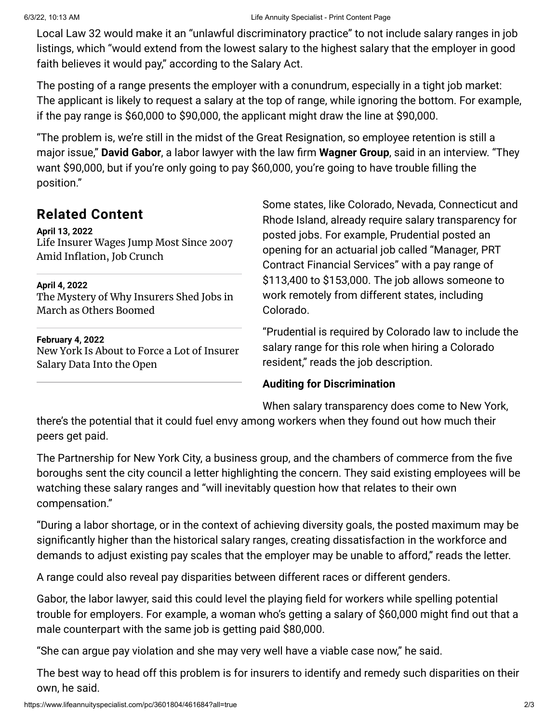Local Law 32 would make it an "unlawful discriminatory practice" to not include salary ranges in job listings, which "would extend from the lowest salary to the highest salary that the employer in good faith believes it would pay," according to the Salary Act.

The posting of a range presents the employer with a conundrum, especially in a tight job market: The applicant is likely to request a salary at the top of range, while ignoring the bottom. For example, if the pay range is \$60,000 to \$90,000, the applicant might draw the line at \$90,000.

"The problem is, we're still in the midst of the Great Resignation, so employee retention is still a major issue," **David Gabor**, a labor lawyer with the law firm **Wagner Group**, said in an interview. "They want \$90,000, but if you're only going to pay \$60,000, you're going to have trouble filling the position."

# **Related Content**

#### **April 13, 2022**

Life Insurer Wages Jump Most Since 2007 [Amid Inflation,](https://www.lifeannuityspecialist.com/c/3572054/457694/life_insurer_wages_jump_most_since_amid_inflation_crunch) Job Crunch

#### **April 4, 2022**

The Mystery of Why Insurers [Shed Jobs](https://www.lifeannuityspecialist.com/c/3560644/455744/mystery_insurers_shed_jobs_march_others_boomed) in March as Others Boomed

#### **February 4, 2022**

New York Is About to Force a Lot of [Insurer](https://www.lifeannuityspecialist.com/c/3488824/445684/york_about_force_insurer_salary_data_into_open) Salary Data Into the Open

Some states, like Colorado, Nevada, Connecticut and Rhode Island, already require salary transparency for posted jobs. For example, Prudential posted an opening for an actuarial job called "Manager, PRT Contract Financial Services" with a pay range of \$113,400 to \$153,000. The job allows someone to work remotely from different states, including Colorado.

"Prudential is required by Colorado law to include the salary range for this role when hiring a Colorado resident," reads the job description.

## **Auditing for Discrimination**

When salary transparency does come to New York,

there's the potential that it could fuel envy among workers when they found out how much their peers get paid.

The Partnership for New York City, a business group, and the chambers of commerce from the five boroughs sent the city council [a letter highlighting](https://pfnyc.org/news/employers-call-on-city-council-to-amend-salary-posting-law/) the concern. They said existing employees will be watching these salary ranges and "will inevitably question how that relates to their own compensation."

"During a labor shortage, or in the context of achieving diversity goals, the posted maximum may be significantly higher than the historical salary ranges, creating dissatisfaction in the workforce and demands to adjust existing pay scales that the employer may be unable to afford," reads the letter.

A range could also reveal pay disparities between different races or different genders.

Gabor, the labor lawyer, said this could level the playing field for workers while spelling potential trouble for employers. For example, a woman who's getting a salary of \$60,000 might find out that a male counterpart with the same job is getting paid \$80,000.

"She can argue pay violation and she may very well have a viable case now," he said.

The best way to head off this problem is for insurers to identify and remedy such disparities on their own, he said.